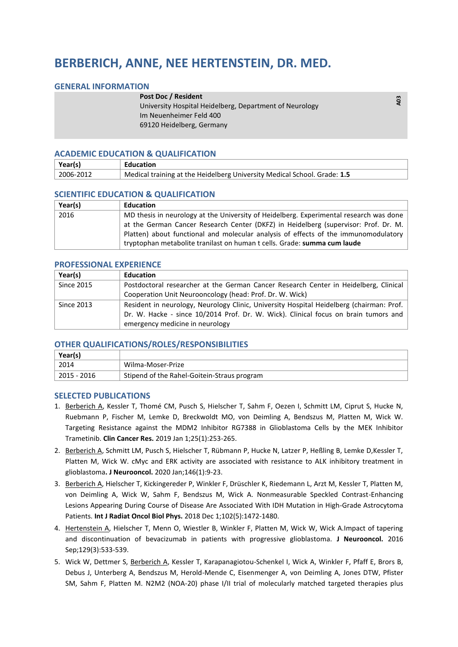# **BERBERICH, ANNE, NEE HERTENSTEIN, DR. MED.**

## **GENERAL INFORMATION**

#### **Post Doc / Resident**

University Hospital Heidelberg, Department of Neurology Im Neuenheimer Feld 400 69120 Heidelberg, Germany

# **ACADEMIC EDUCATION & QUALIFICATION**

| Year(s)   | Education                                                                |
|-----------|--------------------------------------------------------------------------|
| 2006-2012 | Medical training at the Heidelberg University Medical School. Grade: 1.5 |

### **SCIENTIFIC EDUCATION & QUALIFICATION**

| Year(s) | <b>Education</b>                                                                       |
|---------|----------------------------------------------------------------------------------------|
| 2016    | MD thesis in neurology at the University of Heidelberg. Experimental research was done |
|         | at the German Cancer Research Center (DKFZ) in Heidelberg (supervisor: Prof. Dr. M.    |
|         | Platten) about functional and molecular analysis of effects of the immunomodulatory    |
|         | tryptophan metabolite tranilast on human t cells. Grade: summa cum laude               |

# **PROFESSIONAL EXPERIENCE**

| Year(s)           | <b>Education</b>                                                                         |
|-------------------|------------------------------------------------------------------------------------------|
| <b>Since 2015</b> | Postdoctoral researcher at the German Cancer Research Center in Heidelberg, Clinical     |
|                   | Cooperation Unit Neurooncology (head: Prof. Dr. W. Wick)                                 |
| Since 2013        | Resident in neurology, Neurology Clinic, University Hospital Heidelberg (chairman: Prof. |
|                   | Dr. W. Hacke - since 10/2014 Prof. Dr. W. Wick). Clinical focus on brain tumors and      |
|                   | emergency medicine in neurology                                                          |

## **OTHER QUALIFICATIONS/ROLES/RESPONSIBILITIES**

| Year(s)     |                                             |
|-------------|---------------------------------------------|
| 2014        | Wilma-Moser-Prize                           |
| 2015 - 2016 | Stipend of the Rahel-Goitein-Straus program |

#### **SELECTED PUBLICATIONS**

- 1. Berberich A, Kessler T, Thomé CM, Pusch S, Hielscher T, Sahm F, Oezen I, Schmitt LM, Ciprut S, Hucke N, Ruebmann P, Fischer M, Lemke D, Breckwoldt MO, von Deimling A, Bendszus M, Platten M, Wick W. Targeting Resistance against the MDM2 Inhibitor RG7388 in Glioblastoma Cells by the MEK Inhibitor Trametinib. **Clin Cancer Res.** 2019 Jan 1;25(1):253-265.
- 2. Berberich A, Schmitt LM, Pusch S, Hielscher T, Rübmann P, Hucke N, Latzer P, Heßling B, Lemke D,Kessler T, Platten M, Wick W. cMyc and ERK activity are associated with resistance to ALK inhibitory treatment in glioblastoma**. J Neurooncol.** 2020 Jan;146(1):9-23.
- 3. Berberich A, Hielscher T, Kickingereder P, Winkler F, Drüschler K, Riedemann L, Arzt M, Kessler T, Platten M, von Deimling A, Wick W, Sahm F, Bendszus M, Wick A. Nonmeasurable Speckled Contrast-Enhancing Lesions Appearing During Course of Disease Are Associated With IDH Mutation in High-Grade Astrocytoma Patients. **Int J Radiat Oncol Biol Phys.** 2018 Dec 1;102(5):1472-1480.
- 4. Hertenstein A, Hielscher T, Menn O, Wiestler B, Winkler F, Platten M, Wick W, Wick A.Impact of tapering and discontinuation of bevacizumab in patients with progressive glioblastoma. **J Neurooncol.** 2016 Sep;129(3):533-539.
- 5. Wick W, Dettmer S, Berberich A, Kessler T, Karapanagiotou-Schenkel I, Wick A, Winkler F, Pfaff E, Brors B, Debus J, Unterberg A, Bendszus M, Herold-Mende C, Eisenmenger A, von Deimling A, Jones DTW, Pfister SM, Sahm F, Platten M. N2M2 (NOA-20) phase I/II trial of molecularly matched targeted therapies plus

**A03**